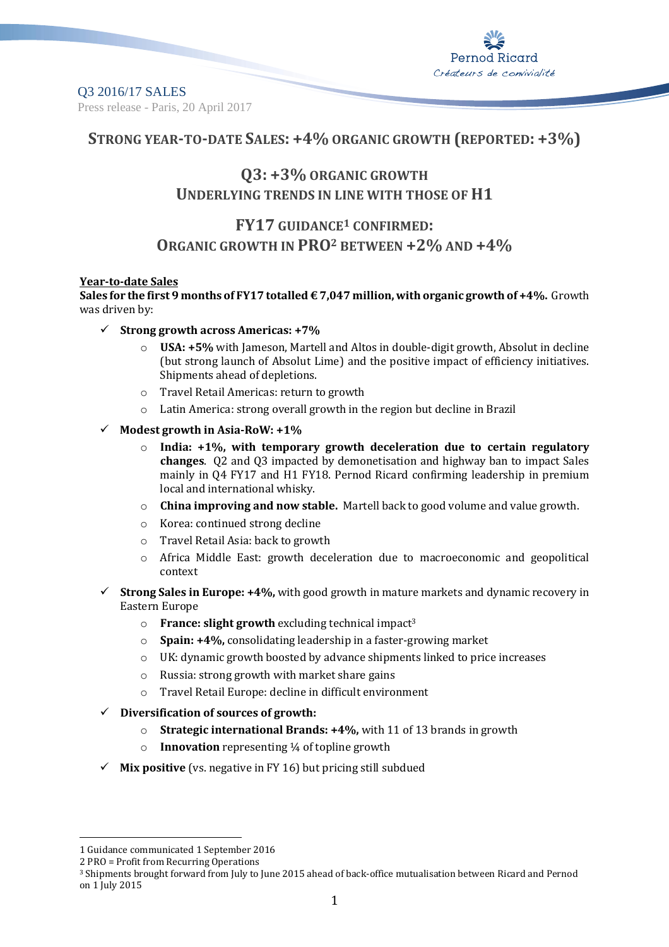Press release - Paris, 20 April 2017

# **STRONG YEAR-TO-DATE SALES: +4% ORGANIC GROWTH (REPORTED: +3%)**

Pernod Ricard Créateurs de convivialité

# **Q3: +3% ORGANIC GROWTH UNDERLYING TRENDS IN LINE WITH THOSE OF H1**

# **FY17 GUIDANCE<sup>1</sup> CONFIRMED: ORGANIC GROWTH IN PRO<sup>2</sup> BETWEEN +2% AND +4%**

#### **Year-to-date Sales**

**Sales for the first 9 months of FY17 totalled € 7,047 million, with organic growth of +4%.** Growth was driven by:

- **Strong growth across Americas: +7%**
	- o **USA: +5%** with Jameson, Martell and Altos in double-digit growth, Absolut in decline (but strong launch of Absolut Lime) and the positive impact of efficiency initiatives. Shipments ahead of depletions.
	- o Travel Retail Americas: return to growth
	- o Latin America: strong overall growth in the region but decline in Brazil
- **Modest growth in Asia-RoW: +1%**
	- o **India: +1%, with temporary growth deceleration due to certain regulatory changes**. Q2 and Q3 impacted by demonetisation and highway ban to impact Sales mainly in Q4 FY17 and H1 FY18. Pernod Ricard confirming leadership in premium local and international whisky.
	- o **China improving and now stable.** Martell back to good volume and value growth.
	- o Korea: continued strong decline
	- o Travel Retail Asia: back to growth
	- o Africa Middle East: growth deceleration due to macroeconomic and geopolitical context
- **Strong Sales in Europe: +4%,** with good growth in mature markets and dynamic recovery in Eastern Europe
	- o **France: slight growth** excluding technical impact<sup>3</sup>
	- o **Spain: +4%,** consolidating leadership in a faster-growing market
	- o UK: dynamic growth boosted by advance shipments linked to price increases
	- o Russia: strong growth with market share gains
	- o Travel Retail Europe: decline in difficult environment
- **Diversification of sources of growth:**
	- o **Strategic international Brands: +4%,** with 11 of 13 brands in growth
	- **Innovation** representing ¼ of topline growth
- $\checkmark$  **Mix positive** (vs. negative in FY 16) but pricing still subdued

 $\overline{\phantom{a}}$ 

<sup>1</sup> Guidance communicated 1 September 2016

<sup>2</sup> PRO = Profit from Recurring Operations

<sup>3</sup> Shipments brought forward from July to June 2015 ahead of back-office mutualisation between Ricard and Pernod on 1 July 2015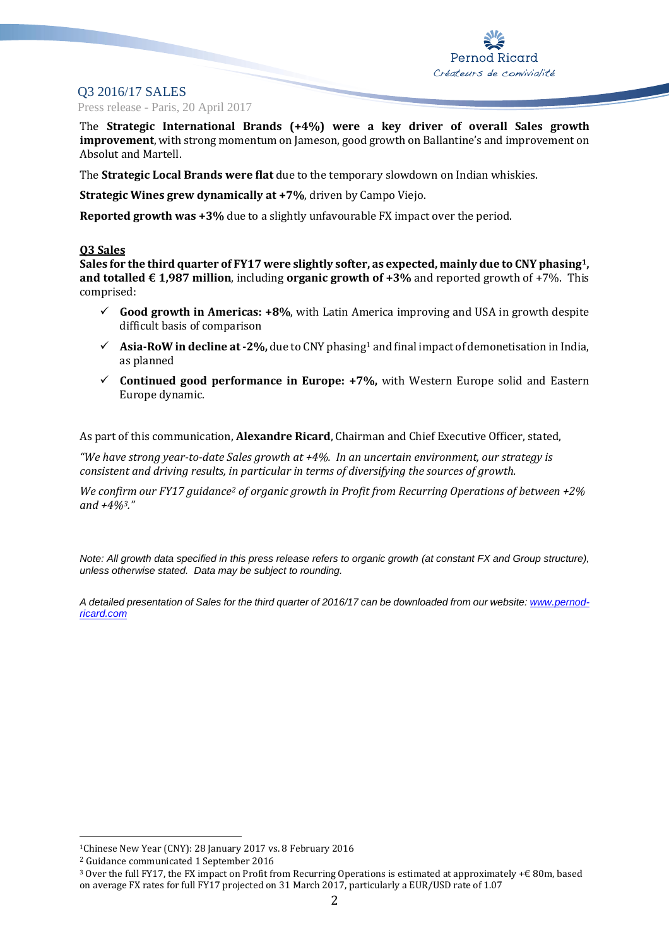

The **Strategic International Brands (+4%) were a key driver of overall Sales growth improvement**, with strong momentum on Jameson, good growth on Ballantine's and improvement on Absolut and Martell.

Pernod Ricard Créateurs de convivialité

The **Strategic Local Brands were flat** due to the temporary slowdown on Indian whiskies.

**Strategic Wines grew dynamically at +7%**, driven by Campo Viejo.

**Reported growth was +3%** due to a slightly unfavourable FX impact over the period.

#### **Q3 Sales**

**Sales for the third quarter of FY17 were slightly softer, as expected, mainly due to CNY phasing1, and totalled € 1,987 million**, including **organic growth of +3%** and reported growth of +7%. This comprised:

- $\checkmark$  **Good growth in Americas: +8%**, with Latin America improving and USA in growth despite difficult basis of comparison
- $\checkmark$  Asia-RoW in decline at -2%, due to CNY phasing<sup>1</sup> and final impact of demonetisation in India, as planned
- **Continued good performance in Europe: +7%,** with Western Europe solid and Eastern Europe dynamic.

As part of this communication, **Alexandre Ricard**, Chairman and Chief Executive Officer, stated,

*"We have strong year-to-date Sales growth at +4%. In an uncertain environment, our strategy is consistent and driving results, in particular in terms of diversifying the sources of growth.*

*We confirm our FY17 guidance<sup>2</sup> of organic growth in Profit from Recurring Operations of between +2% and +4%3."*

*Note: All growth data specified in this press release refers to organic growth (at constant FX and Group structure), unless otherwise stated. Data may be subject to rounding.*

*A detailed presentation of Sales for the third quarter of 2016/17 can be downloaded from our website: [www.pernod](http://www.pernod-ricard.com/)[ricard.com](http://www.pernod-ricard.com/)*

 $\overline{\phantom{a}}$ 

<sup>1</sup>Chinese New Year (CNY): 28 January 2017 vs. 8 February 2016

<sup>2</sup> Guidance communicated 1 September 2016

<sup>3</sup> Over the full FY17, the FX impact on Profit from Recurring Operations is estimated at approximately +€ 80m, based on average FX rates for full FY17 projected on 31 March 2017, particularly a EUR/USD rate of 1.07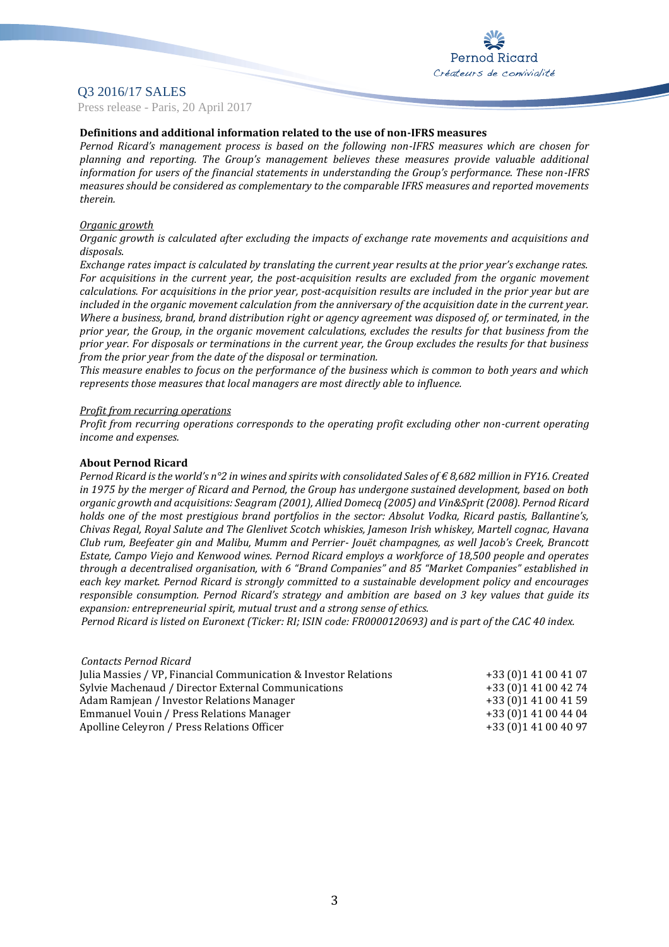Press release - Paris, 20 April 2017

#### **Definitions and additional information related to the use of non-IFRS measures**

*Pernod Ricard's management process is based on the following non-IFRS measures which are chosen for planning and reporting. The Group's management believes these measures provide valuable additional information for users of the financial statements in understanding the Group's performance. These non-IFRS measures should be considered as complementary to the comparable IFRS measures and reported movements therein.*

#### *Organic growth*

*Organic growth is calculated after excluding the impacts of exchange rate movements and acquisitions and disposals.* 

*Exchange rates impact is calculated by translating the current year results at the prior year's exchange rates. For acquisitions in the current year, the post-acquisition results are excluded from the organic movement calculations. For acquisitions in the prior year, post-acquisition results are included in the prior year but are included in the organic movement calculation from the anniversary of the acquisition date in the current year. Where a business, brand, brand distribution right or agency agreement was disposed of, or terminated, in the prior year, the Group, in the organic movement calculations, excludes the results for that business from the prior year. For disposals or terminations in the current year, the Group excludes the results for that business from the prior year from the date of the disposal or termination.*

*This measure enables to focus on the performance of the business which is common to both years and which represents those measures that local managers are most directly able to influence.*

#### *Profit from recurring operations*

*Profit from recurring operations corresponds to the operating profit excluding other non-current operating income and expenses.*

#### **About Pernod Ricard**

*Pernod Ricard is the world's n°2 in wines and spirits with consolidated Sales of € 8,682 million in FY16. Created in 1975 by the merger of Ricard and Pernod, the Group has undergone sustained development, based on both organic growth and acquisitions: Seagram (2001), Allied Domecq (2005) and Vin&Sprit (2008). Pernod Ricard holds one of the most prestigious brand portfolios in the sector: Absolut Vodka, Ricard pastis, Ballantine's, Chivas Regal, Royal Salute and The Glenlivet Scotch whiskies, Jameson Irish whiskey, Martell cognac, Havana Club rum, Beefeater gin and Malibu, Mumm and Perrier- Jouët champagnes, as well Jacob's Creek, Brancott Estate, Campo Viejo and Kenwood wines. Pernod Ricard employs a workforce of 18,500 people and operates through a decentralised organisation, with 6 "Brand Companies" and 85 "Market Companies" established in each key market. Pernod Ricard is strongly committed to a sustainable development policy and encourages responsible consumption. Pernod Ricard's strategy and ambition are based on 3 key values that guide its expansion: entrepreneurial spirit, mutual trust and a strong sense of ethics.*

*Pernod Ricard is listed on Euronext (Ticker: RI; ISIN code: FR0000120693) and is part of the CAC 40 index.*

| Contacts Pernod Ricard                                           |                      |
|------------------------------------------------------------------|----------------------|
| Julia Massies / VP, Financial Communication & Investor Relations | +33 (0) 141 00 41 07 |
| Sylvie Machenaud / Director External Communications              | +33 (0) 141 00 42 74 |
| Adam Ramjean / Investor Relations Manager                        | +33 (0) 141 00 41 59 |
| Emmanuel Vouin / Press Relations Manager                         | +33 (0) 141 00 44 04 |
| Apolline Celeyron / Press Relations Officer                      | +33 (0) 141 00 40 97 |
|                                                                  |                      |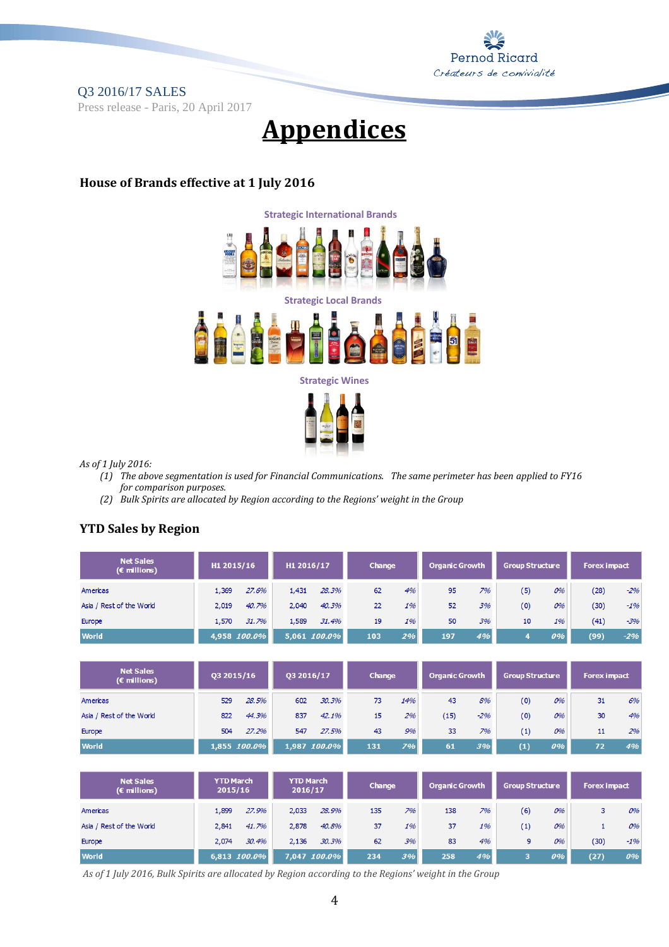

Press release - Paris, 20 April 2017

# **Appendices**

## **House of Brands effective at 1 July 2016**



*As of 1 July 2016:*

- *(1) The above segmentation is used for Financial Communications. The same perimeter has been applied to FY16 for comparison purposes.*
- *(2) Bulk Spirits are allocated by Region according to the Regions' weight in the Group*

## **YTD Sales by Region**

| <b>Net Sales</b><br>(€ millions) | H1 2015/16                  | H1 2016/17                  | Change    | <b>Organic Growth</b> | <b>Group Structure</b> | <b>Forex impact</b> |
|----------------------------------|-----------------------------|-----------------------------|-----------|-----------------------|------------------------|---------------------|
| Americas                         | 1,369                       | 28.3%                       | 62        | 95                    | (5)                    | $-2%$               |
|                                  | 27.6%                       | 1,431                       | 4%        | 7%                    | 0%                     | (28)                |
| Asia / Rest of the World         | 2,019                       | 2,040                       | 22        | 52                    | (0)                    | $-1%$               |
|                                  | 40.7%                       | 40.3%                       | 1%        | 3%                    | 0%                     | (30)                |
| Europe                           | 1,570                       | 1,589                       | 19        | 50                    | 10                     | $-3%$               |
|                                  | 31.7%                       | 31.4%                       | 1%        | 3%                    | 1%                     | (41)                |
| World                            | 4.958 100.0%                | 5.061 100.0%                | 2%<br>103 | 197<br>4%             | 4<br>0%                | $-2%$<br>(99)       |
|                                  |                             |                             |           |                       |                        |                     |
| <b>Net Sales</b><br>(€ millions) | Q3 2015/16                  | Q3 2016/17                  | Change    | <b>Organic Growth</b> | <b>Group Structure</b> | <b>Forex impact</b> |
| Americas                         | 529                         | 602                         | 73        | 43                    | (0)                    | 6%                  |
|                                  | 28.5%                       | 30.3%                       | 14%       | 8%                    | 0%                     | 31                  |
| Asia / Rest of the World         | 822                         | 837                         | 15        | (15)                  | 0%                     | 4%                  |
|                                  | 44.3%                       | 42.1%                       | 2%        | $-2%$                 | (0)                    | 30                  |
| Europe                           | 504                         | 547                         | 43        | 33                    | (1)                    | 2%                  |
|                                  | 27.2%                       | 27.5%                       | 9%        | 7%                    | 0%                     | 11                  |
| World                            | 1.855 100.0%                | 1.987 100.0%                | 131<br>7% | 61<br>3%              | (1)<br>0%              | 4%<br>72            |
|                                  |                             |                             |           |                       |                        |                     |
| <b>Net Sales</b><br>(€ millions) | <b>YTD March</b><br>2015/16 | <b>YTD March</b><br>2016/17 | Change    | <b>Organic Growth</b> | <b>Group Structure</b> | <b>Forex impact</b> |
| Americas                         | 1,899                       | 28.9%                       | 135       | 138                   | (6)                    | 3                   |
|                                  | 27.9%                       | 2,033                       | 7%        | 7%                    | 0%                     | 0%                  |
| Rest of the World                | 2,841                       | 2,878                       | 37        | 37                    | (1)                    | $\mathbf{1}$        |
| Asia /                           | 41.7%                       | 40.8%                       | 1%        | 1%                    | 0%                     | 0%                  |
| Europe                           | 2,074                       | 2,136                       | 3%        | 83                    | 0%                     | $-1%$               |
|                                  | 30.4%                       | 30.3%                       | 62        | 4%                    | 9                      | (30)                |
| World                            | 6,813 100.0%                | 7.047 100.0%                | 234<br>3% | 258<br>4%             | 3<br>0%                | 0%<br>(27)          |

*As of 1 July 2016, Bulk Spirits are allocated by Region according to the Regions' weight in the Group*